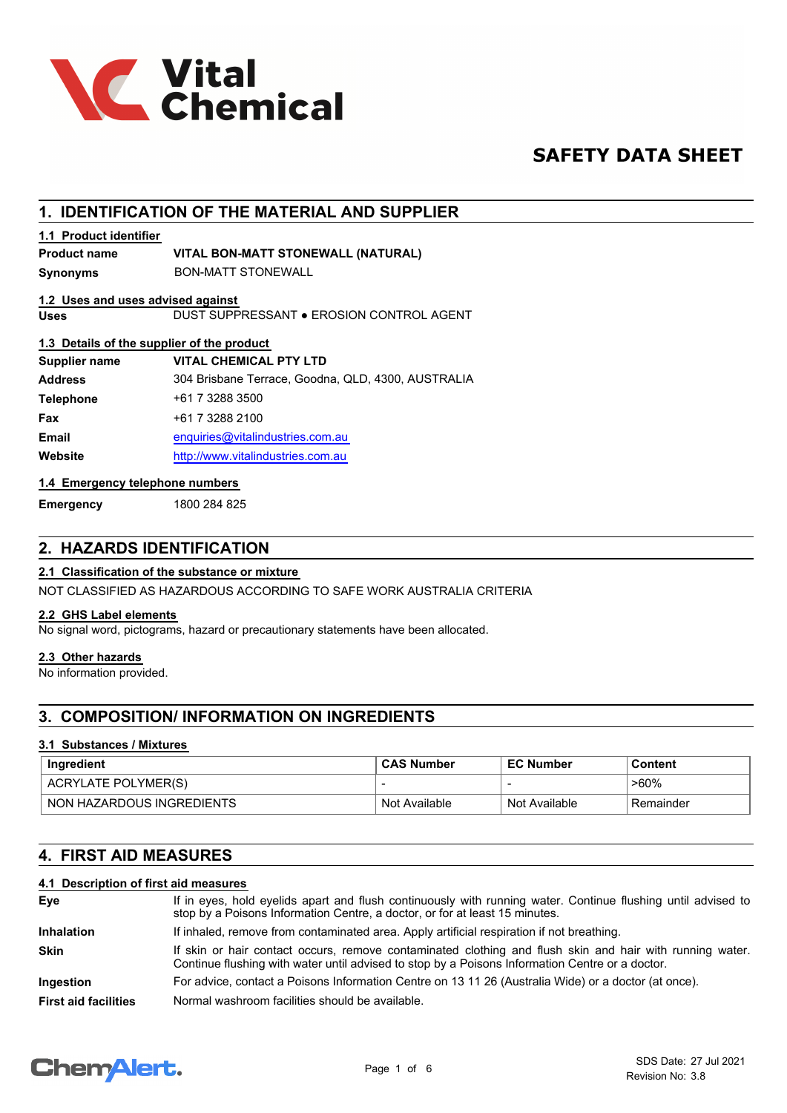

## **SAFETY DATA SHEET**

## **1. IDENTIFICATION OF THE MATERIAL AND SUPPLIER**

#### **1.1 Product identifier**

#### **Product name VITAL BON-MATT STONEWALL (NATURAL)**

**Synonyms** BON-MATT STONEWALL

#### **1.2 Uses and uses advised against**

**Uses** DUST SUPPRESSANT ● EROSION CONTROL AGENT

#### **1.3 Details of the supplier of the product**

| <b>Supplier name</b> | <b>VITAL CHEMICAL PTY LTD</b>                      |
|----------------------|----------------------------------------------------|
| <b>Address</b>       | 304 Brisbane Terrace, Goodna, QLD, 4300, AUSTRALIA |
| <b>Telephone</b>     | +61 7 3288 3500                                    |
| <b>Fax</b>           | +61 7 3288 2100                                    |
| Email                | enquiries@vitalindustries.com.au                   |
| Website              | http://www.vitalindustries.com.au                  |
|                      |                                                    |

#### **1.4 Emergency telephone numbers**

**Emergency** 1800 284 825

### **2. HAZARDS IDENTIFICATION**

#### **2.1 Classification of the substance or mixture**

NOT CLASSIFIED AS HAZARDOUS ACCORDING TO SAFE WORK AUSTRALIA CRITERIA

#### **2.2 GHS Label elements**

No signal word, pictograms, hazard or precautionary statements have been allocated.

#### **2.3 Other hazards**

No information provided.

## **3. COMPOSITION/ INFORMATION ON INGREDIENTS**

#### **3.1 Substances / Mixtures**

| Ingredient                  | <b>CAS Number</b> | <b>EC Number</b> | Content    |
|-----------------------------|-------------------|------------------|------------|
| ACRYLATE POLYMER(S)         |                   |                  | $>60\%$    |
| ` NON HAZARDOUS INGREDIENTS | Not Available     | Not Available    | ⊦Remainder |

## **4. FIRST AID MEASURES**

#### **4.1 Description of first aid measures**

| Eye                         | If in eyes, hold eyelids apart and flush continuously with running water. Continue flushing until advised to<br>stop by a Poisons Information Centre, a doctor, or for at least 15 minutes.                 |
|-----------------------------|-------------------------------------------------------------------------------------------------------------------------------------------------------------------------------------------------------------|
| <b>Inhalation</b>           | If inhaled, remove from contaminated area. Apply artificial respiration if not breathing.                                                                                                                   |
| <b>Skin</b>                 | If skin or hair contact occurs, remove contaminated clothing and flush skin and hair with running water.<br>Continue flushing with water until advised to stop by a Poisons Information Centre or a doctor. |
| Ingestion                   | For advice, contact a Poisons Information Centre on 13 11 26 (Australia Wide) or a doctor (at once).                                                                                                        |
| <b>First aid facilities</b> | Normal washroom facilities should be available.                                                                                                                                                             |

# **ChemAlert.**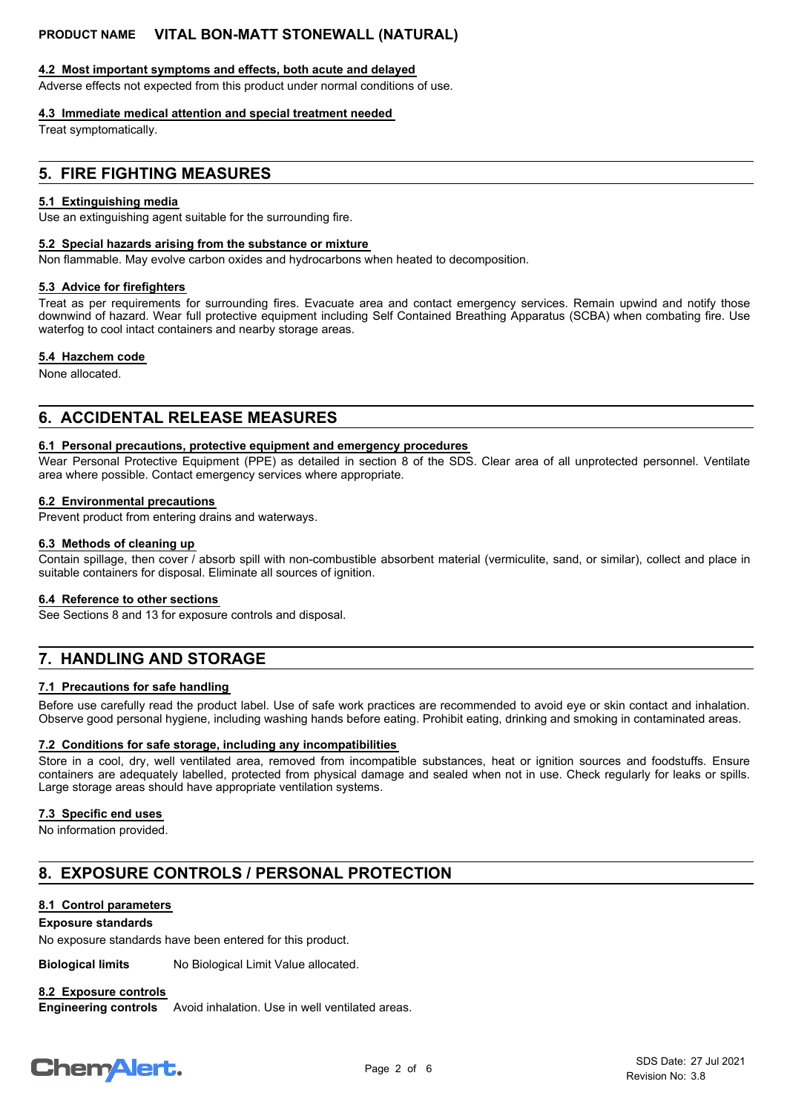#### **4.2 Most important symptoms and effects, both acute and delayed**

Adverse effects not expected from this product under normal conditions of use.

#### **4.3 Immediate medical attention and special treatment needed**

Treat symptomatically.

#### **5. FIRE FIGHTING MEASURES**

#### **5.1 Extinguishing media**

Use an extinguishing agent suitable for the surrounding fire.

#### **5.2 Special hazards arising from the substance or mixture**

Non flammable. May evolve carbon oxides and hydrocarbons when heated to decomposition.

#### **5.3 Advice for firefighters**

Treat as per requirements for surrounding fires. Evacuate area and contact emergency services. Remain upwind and notify those downwind of hazard. Wear full protective equipment including Self Contained Breathing Apparatus (SCBA) when combating fire. Use waterfog to cool intact containers and nearby storage areas.

#### **5.4 Hazchem code**

None allocated.

#### **6. ACCIDENTAL RELEASE MEASURES**

#### **6.1 Personal precautions, protective equipment and emergency procedures**

Wear Personal Protective Equipment (PPE) as detailed in section 8 of the SDS. Clear area of all unprotected personnel. Ventilate area where possible. Contact emergency services where appropriate.

#### **6.2 Environmental precautions**

Prevent product from entering drains and waterways.

#### **6.3 Methods of cleaning up**

Contain spillage, then cover / absorb spill with non-combustible absorbent material (vermiculite, sand, or similar), collect and place in suitable containers for disposal. Eliminate all sources of ignition.

#### **6.4 Reference to other sections**

See Sections 8 and 13 for exposure controls and disposal.

## **7. HANDLING AND STORAGE**

#### **7.1 Precautions for safe handling**

Before use carefully read the product label. Use of safe work practices are recommended to avoid eye or skin contact and inhalation. Observe good personal hygiene, including washing hands before eating. Prohibit eating, drinking and smoking in contaminated areas.

#### **7.2 Conditions for safe storage, including any incompatibilities**

Store in a cool, dry, well ventilated area, removed from incompatible substances, heat or ignition sources and foodstuffs. Ensure containers are adequately labelled, protected from physical damage and sealed when not in use. Check regularly for leaks or spills. Large storage areas should have appropriate ventilation systems.

#### **7.3 Specific end uses**

No information provided.

## **8. EXPOSURE CONTROLS / PERSONAL PROTECTION**

#### **8.1 Control parameters**

#### **Exposure standards**

No exposure standards have been entered for this product.

**Biological limits** No Biological Limit Value allocated.

#### **8.2 Exposure controls**

Avoid inhalation. Use in well ventilated areas. **Engineering controls**

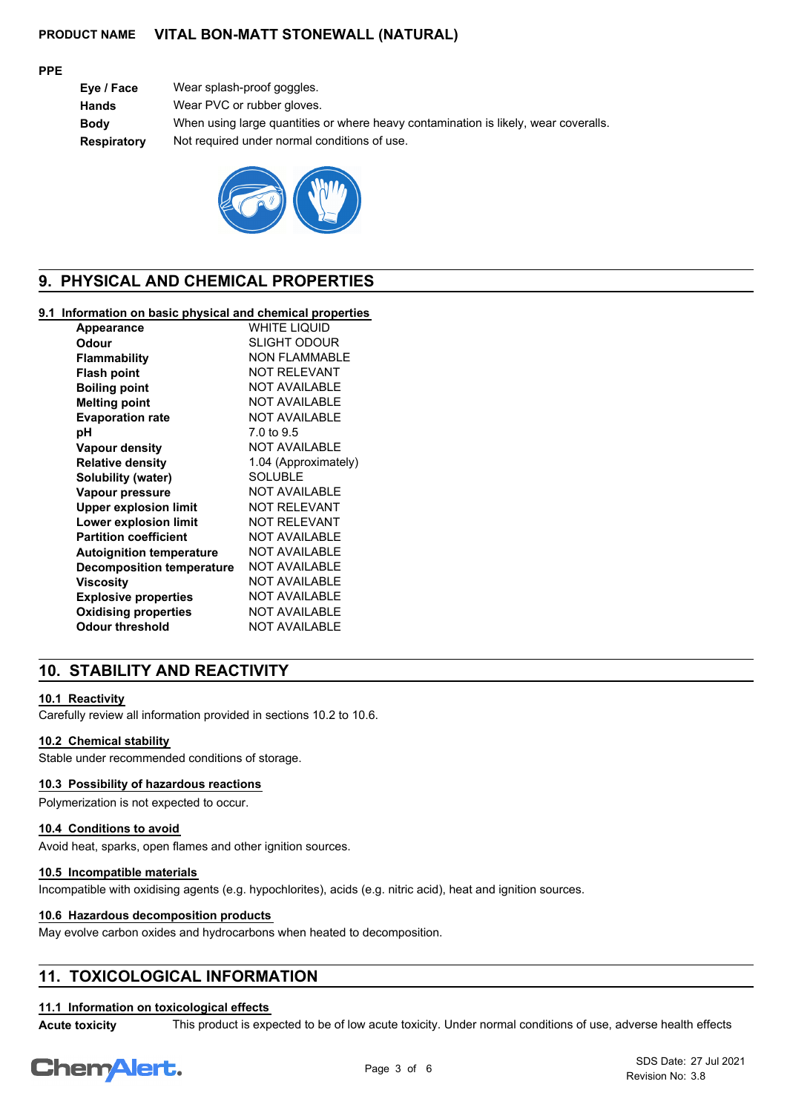#### **PPE**

| Eye / Face  | Wear splash-proof goggles.                                                          |
|-------------|-------------------------------------------------------------------------------------|
| Hands       | Wear PVC or rubber gloves.                                                          |
| Bodv        | When using large quantities or where heavy contamination is likely, wear coveralls. |
| Respiratory | Not required under normal conditions of use.                                        |
|             |                                                                                     |



## **9. PHYSICAL AND CHEMICAL PROPERTIES**

#### **9.1 Information on basic physical and chemical properties**

| <b>Appearance</b>                | WHITE LIQUID         |
|----------------------------------|----------------------|
| Odour                            | <b>SLIGHT ODOUR</b>  |
| <b>Flammability</b>              | <b>NON FLAMMABLE</b> |
| <b>Flash point</b>               | <b>NOT RELEVANT</b>  |
| <b>Boiling point</b>             | <b>NOT AVAILABLE</b> |
| <b>Melting point</b>             | <b>NOT AVAILABLE</b> |
| <b>Evaporation rate</b>          | <b>NOT AVAILABLE</b> |
| рH                               | 7.0 to 9.5           |
| <b>Vapour density</b>            | <b>NOT AVAILABLE</b> |
| <b>Relative density</b>          | 1.04 (Approximately) |
| Solubility (water)               | <b>SOLUBLE</b>       |
| Vapour pressure                  | <b>NOT AVAILABLE</b> |
| <b>Upper explosion limit</b>     | <b>NOT RELEVANT</b>  |
| <b>Lower explosion limit</b>     | <b>NOT RELEVANT</b>  |
| <b>Partition coefficient</b>     | <b>NOT AVAILABLE</b> |
| <b>Autoignition temperature</b>  | <b>NOT AVAILABLE</b> |
| <b>Decomposition temperature</b> | <b>NOT AVAILABLE</b> |
| <b>Viscosity</b>                 | <b>NOT AVAILABLE</b> |
| <b>Explosive properties</b>      | <b>NOT AVAILABLE</b> |
| <b>Oxidising properties</b>      | <b>NOT AVAILABLE</b> |
| Odour threshold                  | <b>NOT AVAILABLE</b> |
|                                  |                      |

## **10. STABILITY AND REACTIVITY**

#### **10.1 Reactivity**

Carefully review all information provided in sections 10.2 to 10.6.

#### **10.2 Chemical stability**

Stable under recommended conditions of storage.

#### **10.3 Possibility of hazardous reactions**

Polymerization is not expected to occur.

#### **10.4 Conditions to avoid**

Avoid heat, sparks, open flames and other ignition sources.

#### **10.5 Incompatible materials**

Incompatible with oxidising agents (e.g. hypochlorites), acids (e.g. nitric acid), heat and ignition sources.

#### **10.6 Hazardous decomposition products**

May evolve carbon oxides and hydrocarbons when heated to decomposition.

## **11. TOXICOLOGICAL INFORMATION**

## **11.1 Information on toxicological effects**

**Acute toxicity** This product is expected to be of low acute toxicity. Under normal conditions of use, adverse health effects

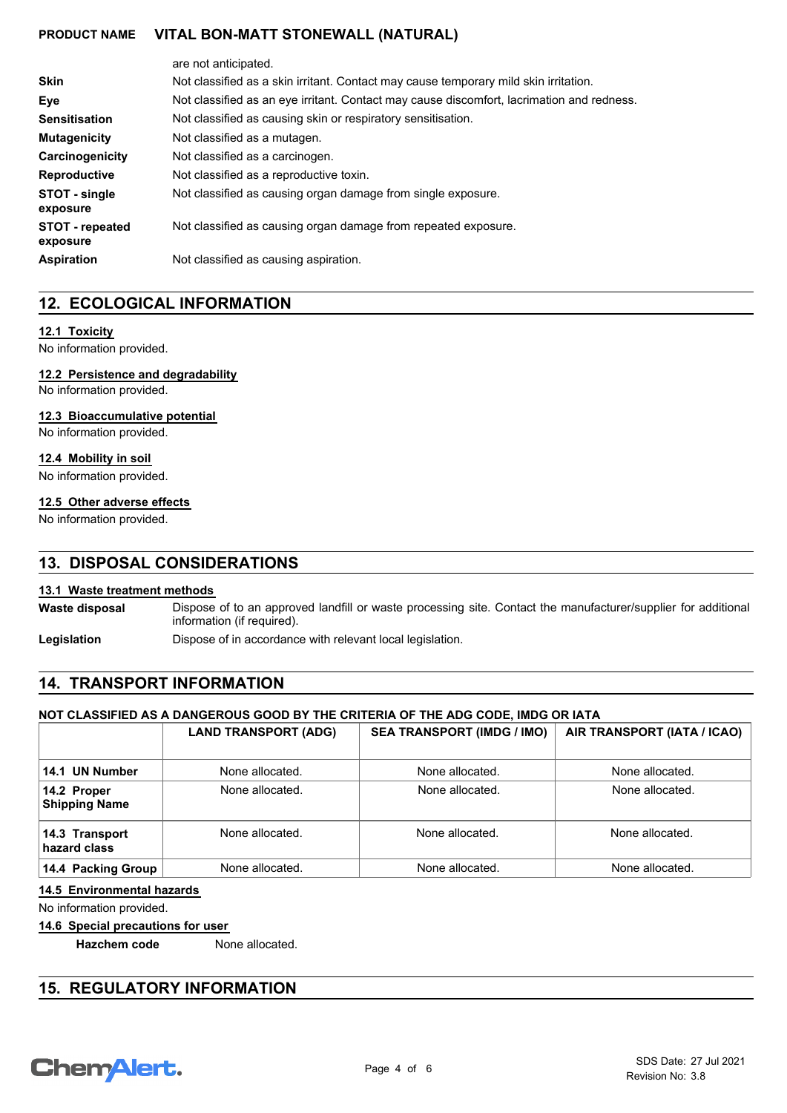|                                    | are not anticipated.                                                                      |  |
|------------------------------------|-------------------------------------------------------------------------------------------|--|
| <b>Skin</b>                        | Not classified as a skin irritant. Contact may cause temporary mild skin irritation.      |  |
| Eye                                | Not classified as an eye irritant. Contact may cause discomfort, lacrimation and redness. |  |
| <b>Sensitisation</b>               | Not classified as causing skin or respiratory sensitisation.                              |  |
| <b>Mutagenicity</b>                | Not classified as a mutagen.                                                              |  |
| Carcinogenicity                    | Not classified as a carcinogen.                                                           |  |
| <b>Reproductive</b>                | Not classified as a reproductive toxin.                                                   |  |
| STOT - single<br>exposure          | Not classified as causing organ damage from single exposure.                              |  |
| <b>STOT</b> - repeated<br>exposure | Not classified as causing organ damage from repeated exposure.                            |  |
| <b>Aspiration</b>                  | Not classified as causing aspiration.                                                     |  |

## **12. ECOLOGICAL INFORMATION**

#### **12.1 Toxicity**

No information provided.

#### **12.2 Persistence and degradability**

No information provided.

#### **12.3 Bioaccumulative potential**

No information provided.

#### **12.4 Mobility in soil**

No information provided.

#### **12.5 Other adverse effects**

No information provided.

## **13. DISPOSAL CONSIDERATIONS**

#### **13.1 Waste treatment methods**

Dispose of to an approved landfill or waste processing site. Contact the manufacturer/supplier for additional information (if required). **Waste disposal**

Legislation **Dispose of in accordance with relevant local legislation.** 

## **14. TRANSPORT INFORMATION**

#### **NOT CLASSIFIED AS A DANGEROUS GOOD BY THE CRITERIA OF THE ADG CODE, IMDG OR IATA**

|                                     | <b>LAND TRANSPORT (ADG)</b> | <b>SEA TRANSPORT (IMDG / IMO)</b> | AIR TRANSPORT (IATA / ICAO) |
|-------------------------------------|-----------------------------|-----------------------------------|-----------------------------|
| 14.1 UN Number                      | None allocated.             | None allocated.                   | None allocated.             |
| 14.2 Proper<br><b>Shipping Name</b> | None allocated.             | None allocated.                   | None allocated.             |
| 14.3 Transport<br>hazard class      | None allocated.             | None allocated.                   | None allocated.             |
| 14.4 Packing Group                  | None allocated.             | None allocated.                   | None allocated.             |

#### **14.5 Environmental hazards**

No information provided.

#### **14.6 Special precautions for user**

**Hazchem code** None allocated.

## **15. REGULATORY INFORMATION**

# **ChemAlert.**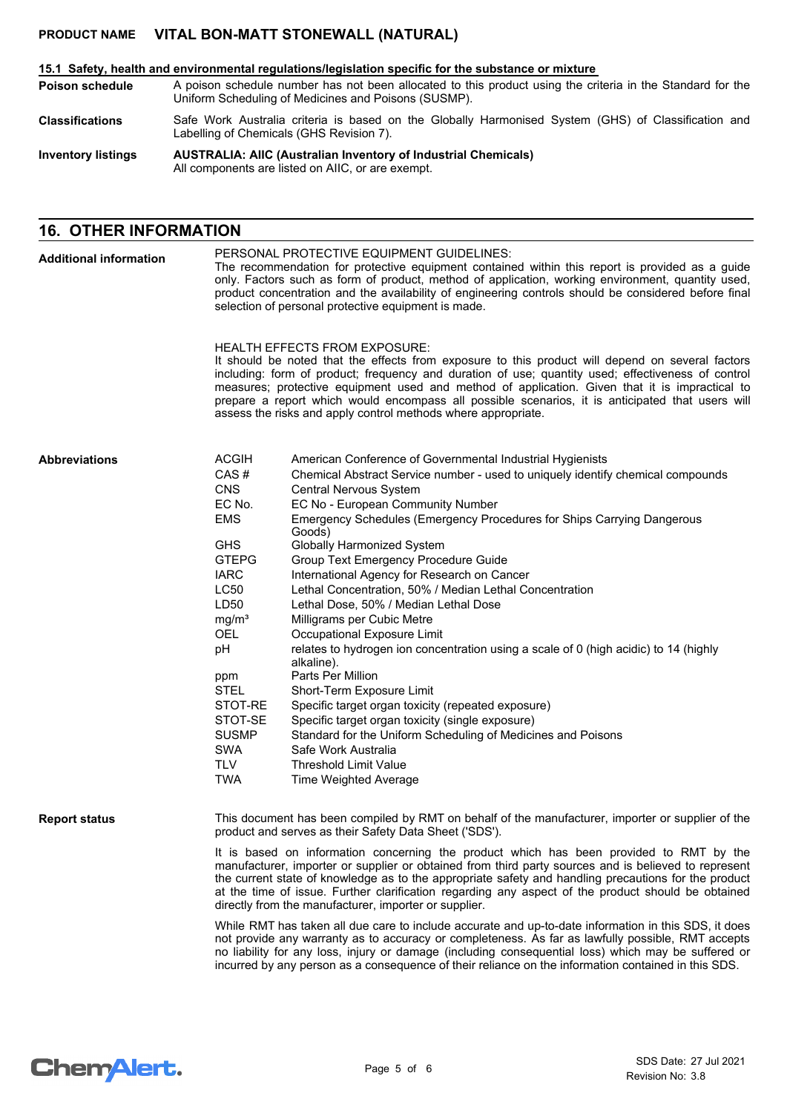#### **15.1 Safety, health and environmental regulations/legislation specific for the substance or mixture**

A poison schedule number has not been allocated to this product using the criteria in the Standard for the Uniform Scheduling of Medicines and Poisons (SUSMP). **Poison schedule**

Safe Work Australia criteria is based on the Globally Harmonised System (GHS) of Classification and Labelling of Chemicals (GHS Revision 7). **Classifications**

**AUSTRALIA: AIIC (Australian Inventory of Industrial Chemicals)** All components are listed on AIIC, or are exempt. **Inventory listings**

#### **16. OTHER INFORMATION**

| <b>Additional information</b> | PERSONAL PROTECTIVE EQUIPMENT GUIDELINES:<br>The recommendation for protective equipment contained within this report is provided as a guide<br>only. Factors such as form of product, method of application, working environment, quantity used,<br>product concentration and the availability of engineering controls should be considered before final<br>selection of personal protective equipment is made.                                                                                                                                                                                                                                                                                                                                                                                                                                                                                                                                                                                                                                                 |                                                                                                                                                                                                                                                                                                                                                                                                                                                                                                                                                                                                                                                                                                                                                                                                                                                                                                                                                                                                         |  |  |
|-------------------------------|------------------------------------------------------------------------------------------------------------------------------------------------------------------------------------------------------------------------------------------------------------------------------------------------------------------------------------------------------------------------------------------------------------------------------------------------------------------------------------------------------------------------------------------------------------------------------------------------------------------------------------------------------------------------------------------------------------------------------------------------------------------------------------------------------------------------------------------------------------------------------------------------------------------------------------------------------------------------------------------------------------------------------------------------------------------|---------------------------------------------------------------------------------------------------------------------------------------------------------------------------------------------------------------------------------------------------------------------------------------------------------------------------------------------------------------------------------------------------------------------------------------------------------------------------------------------------------------------------------------------------------------------------------------------------------------------------------------------------------------------------------------------------------------------------------------------------------------------------------------------------------------------------------------------------------------------------------------------------------------------------------------------------------------------------------------------------------|--|--|
|                               |                                                                                                                                                                                                                                                                                                                                                                                                                                                                                                                                                                                                                                                                                                                                                                                                                                                                                                                                                                                                                                                                  | <b>HEALTH EFFECTS FROM EXPOSURE:</b><br>It should be noted that the effects from exposure to this product will depend on several factors<br>including: form of product; frequency and duration of use; quantity used; effectiveness of control<br>measures; protective equipment used and method of application. Given that it is impractical to<br>prepare a report which would encompass all possible scenarios, it is anticipated that users will<br>assess the risks and apply control methods where appropriate.                                                                                                                                                                                                                                                                                                                                                                                                                                                                                   |  |  |
| <b>Abbreviations</b>          | <b>ACGIH</b><br>CAS#<br><b>CNS</b><br>EC No.<br><b>EMS</b><br><b>GHS</b><br><b>GTEPG</b><br><b>IARC</b><br>LC50<br>LD50<br>mg/m <sup>3</sup><br><b>OEL</b><br>pH<br>ppm<br>STEL<br>STOT-RE<br>STOT-SE<br><b>SUSMP</b><br><b>SWA</b><br><b>TLV</b><br><b>TWA</b>                                                                                                                                                                                                                                                                                                                                                                                                                                                                                                                                                                                                                                                                                                                                                                                                  | American Conference of Governmental Industrial Hygienists<br>Chemical Abstract Service number - used to uniquely identify chemical compounds<br>Central Nervous System<br>EC No - European Community Number<br>Emergency Schedules (Emergency Procedures for Ships Carrying Dangerous<br>Goods)<br><b>Globally Harmonized System</b><br>Group Text Emergency Procedure Guide<br>International Agency for Research on Cancer<br>Lethal Concentration, 50% / Median Lethal Concentration<br>Lethal Dose, 50% / Median Lethal Dose<br>Milligrams per Cubic Metre<br>Occupational Exposure Limit<br>relates to hydrogen ion concentration using a scale of 0 (high acidic) to 14 (highly<br>alkaline).<br>Parts Per Million<br>Short-Term Exposure Limit<br>Specific target organ toxicity (repeated exposure)<br>Specific target organ toxicity (single exposure)<br>Standard for the Uniform Scheduling of Medicines and Poisons<br>Safe Work Australia<br>Threshold Limit Value<br>Time Weighted Average |  |  |
| <b>Report status</b>          | This document has been compiled by RMT on behalf of the manufacturer, importer or supplier of the<br>product and serves as their Safety Data Sheet ('SDS').<br>It is based on information concerning the product which has been provided to RMT by the<br>manufacturer, importer or supplier or obtained from third party sources and is believed to represent<br>the current state of knowledge as to the appropriate safety and handling precautions for the product<br>at the time of issue. Further clarification regarding any aspect of the product should be obtained<br>directly from the manufacturer, importer or supplier.<br>While RMT has taken all due care to include accurate and up-to-date information in this SDS, it does<br>not provide any warranty as to accuracy or completeness. As far as lawfully possible, RMT accepts<br>no liability for any loss, injury or damage (including consequential loss) which may be suffered or<br>incurred by any person as a consequence of their reliance on the information contained in this SDS. |                                                                                                                                                                                                                                                                                                                                                                                                                                                                                                                                                                                                                                                                                                                                                                                                                                                                                                                                                                                                         |  |  |

# **Chemalert.**